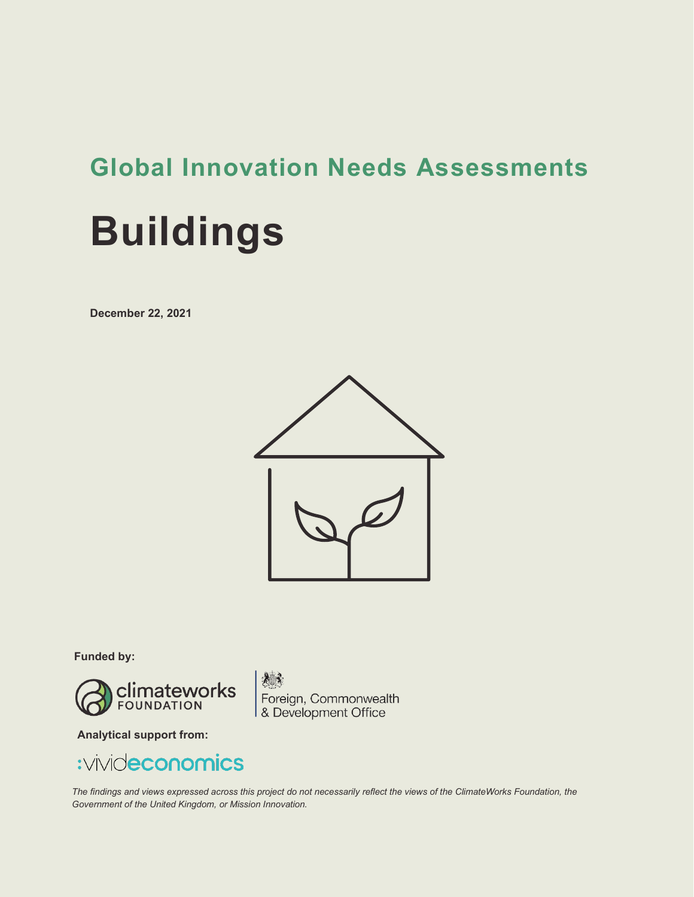# **Global Innovation Needs Assessments**

# **Buildings**

**December 22, 2021**



**Funded by:**



老亲 Foreign, Commonwealth<br>& Development Office

**Analytical support from:**

## :vivideconomics

*The findings and views expressed across this project do not necessarily reflect the views of the ClimateWorks Foundation, the Government of the United Kingdom, or Mission Innovation.*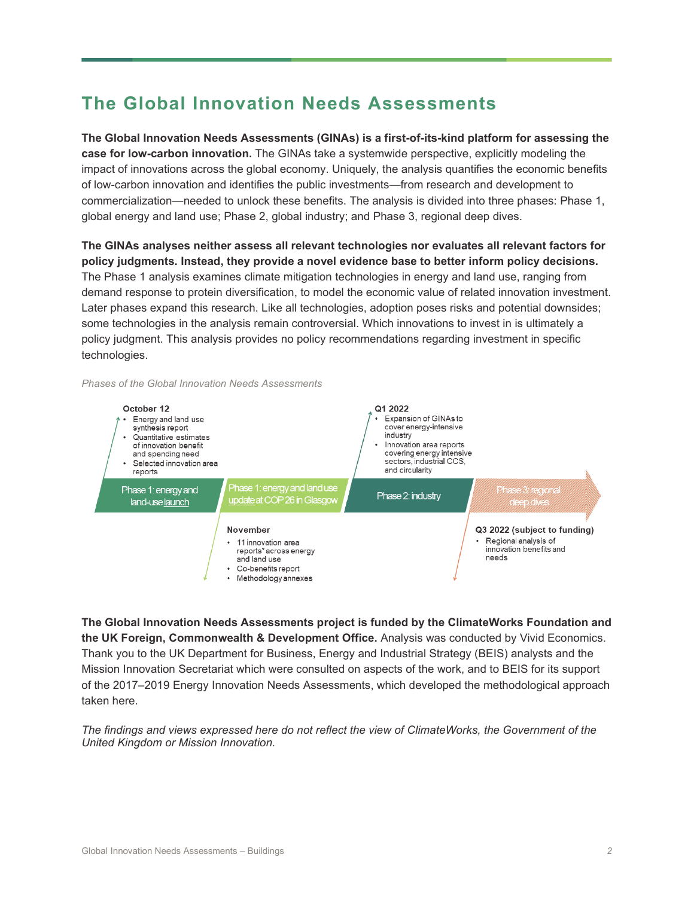## **The Global Innovation Needs Assessments**

**The Global Innovation Needs Assessments (GINAs) is a first-of-its-kind platform for assessing the case for low-carbon innovation.** The GINAs take a systemwide perspective, explicitly modeling the impact of innovations across the global economy. Uniquely, the analysis quantifies the economic benefits of low-carbon innovation and identifies the public investments—from research and development to commercialization—needed to unlock these benefits. The analysis is divided into three phases: Phase 1, global energy and land use; Phase 2, global industry; and Phase 3, regional deep dives.

**The GINAs analyses neither assess all relevant technologies nor evaluates all relevant factors for policy judgments. Instead, they provide a novel evidence base to better inform policy decisions.**  The Phase 1 analysis examines climate mitigation technologies in energy and land use, ranging from demand response to protein diversification, to model the economic value of related innovation investment. Later phases expand this research. Like all technologies, adoption poses risks and potential downsides; some technologies in the analysis remain controversial. Which innovations to invest in is ultimately a policy judgment. This analysis provides no policy recommendations regarding investment in specific technologies.

*Phases of the Global Innovation Needs Assessments* 



**The Global Innovation Needs Assessments project is funded by the ClimateWorks Foundation and the UK Foreign, Commonwealth & Development Office.** Analysis was conducted by Vivid Economics. Thank you to the UK Department for Business, Energy and Industrial Strategy (BEIS) analysts and the Mission Innovation Secretariat which were consulted on aspects of the work, and to BEIS for its support of the 2017–2019 Energy Innovation Needs Assessments, which developed the methodological approach taken here.

*The findings and views expressed here do not reflect the view of ClimateWorks, the Government of the United Kingdom or Mission Innovation.*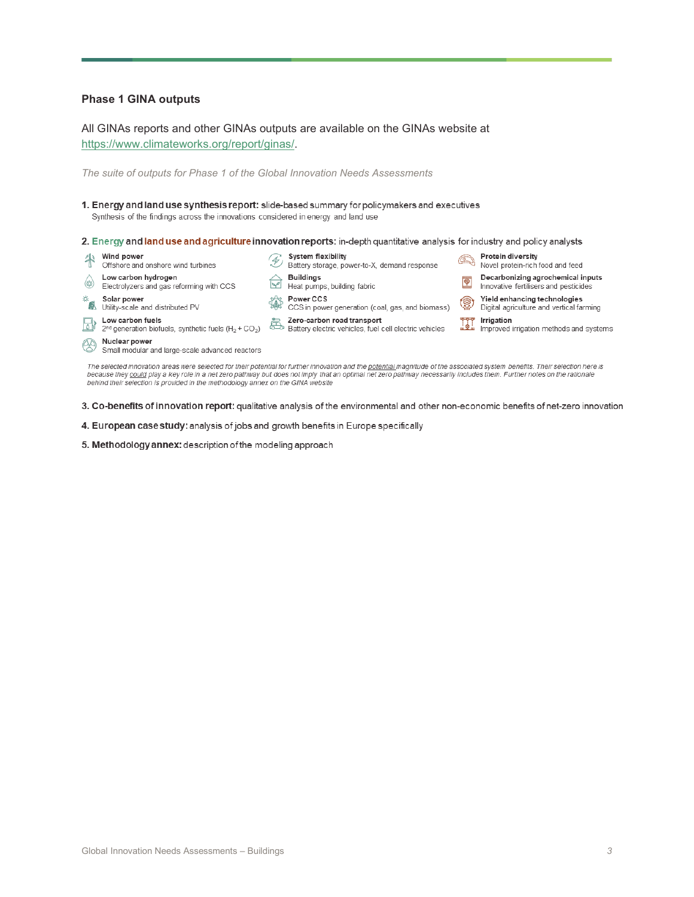#### **Phase 1 GINA outputs**

All GINAs reports and other GINAs outputs are available on the GINAs website at [https://www.climateworks.org/report/ginas/.](https://www.climateworks.org/report/ginas/)

*The suite of outputs for Phase 1 of the Global Innovation Needs Assessments* 

1. Energy and land use synthesis report: slide-based summary for policymakers and executives Synthesis of the findings across the innovations considered in energy and land use

2. Energy and land use and agriculture innovation reports: in-depth quantitative analysis for industry and policy analysts



3. Co-benefits of innovation report: qualitative analysis of the environmental and other non-economic benefits of net-zero innovation

- 4. European case study: analysis of jobs and growth benefits in Europe specifically
- 5. Methodology annex: description of the modeling approach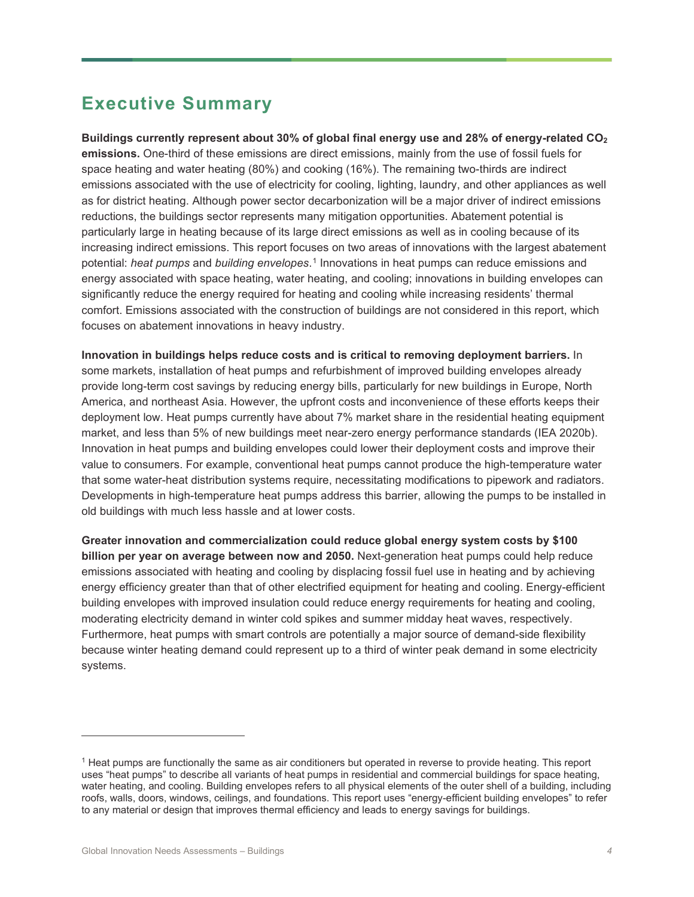## **Executive Summary**

**Buildings currently represent about 30% of global final energy use and 28% of energy-related CO2 emissions.** One-third of these emissions are direct emissions, mainly from the use of fossil fuels for space heating and water heating (80%) and cooking (16%). The remaining two-thirds are indirect emissions associated with the use of electricity for cooling, lighting, laundry, and other appliances as well as for district heating. Although power sector decarbonization will be a major driver of indirect emissions reductions, the buildings sector represents many mitigation opportunities. Abatement potential is particularly large in heating because of its large direct emissions as well as in cooling because of its increasing indirect emissions. This report focuses on two areas of innovations with the largest abatement potential: *heat pumps* and *building envelopes*.[1](#page-3-0) Innovations in heat pumps can reduce emissions and energy associated with space heating, water heating, and cooling; innovations in building envelopes can significantly reduce the energy required for heating and cooling while increasing residents' thermal comfort. Emissions associated with the construction of buildings are not considered in this report, which focuses on abatement innovations in heavy industry.

**Innovation in buildings helps reduce costs and is critical to removing deployment barriers.** In some markets, installation of heat pumps and refurbishment of improved building envelopes already provide long-term cost savings by reducing energy bills, particularly for new buildings in Europe, North America, and northeast Asia. However, the upfront costs and inconvenience of these efforts keeps their deployment low. Heat pumps currently have about 7% market share in the residential heating equipment market, and less than 5% of new buildings meet near-zero energy performance standards (IEA 2020b). Innovation in heat pumps and building envelopes could lower their deployment costs and improve their value to consumers. For example, conventional heat pumps cannot produce the high-temperature water that some water-heat distribution systems require, necessitating modifications to pipework and radiators. Developments in high-temperature heat pumps address this barrier, allowing the pumps to be installed in old buildings with much less hassle and at lower costs.

**Greater innovation and commercialization could reduce global energy system costs by \$100 billion per year on average between now and 2050.** Next-generation heat pumps could help reduce emissions associated with heating and cooling by displacing fossil fuel use in heating and by achieving energy efficiency greater than that of other electrified equipment for heating and cooling. Energy-efficient building envelopes with improved insulation could reduce energy requirements for heating and cooling, moderating electricity demand in winter cold spikes and summer midday heat waves, respectively. Furthermore, heat pumps with smart controls are potentially a major source of demand-side flexibility because winter heating demand could represent up to a third of winter peak demand in some electricity systems.

<span id="page-3-0"></span><sup>1</sup> Heat pumps are functionally the same as air conditioners but operated in reverse to provide heating. This report uses "heat pumps" to describe all variants of heat pumps in residential and commercial buildings for space heating, water heating, and cooling. Building envelopes refers to all physical elements of the outer shell of a building, including roofs, walls, doors, windows, ceilings, and foundations. This report uses "energy-efficient building envelopes" to refer to any material or design that improves thermal efficiency and leads to energy savings for buildings.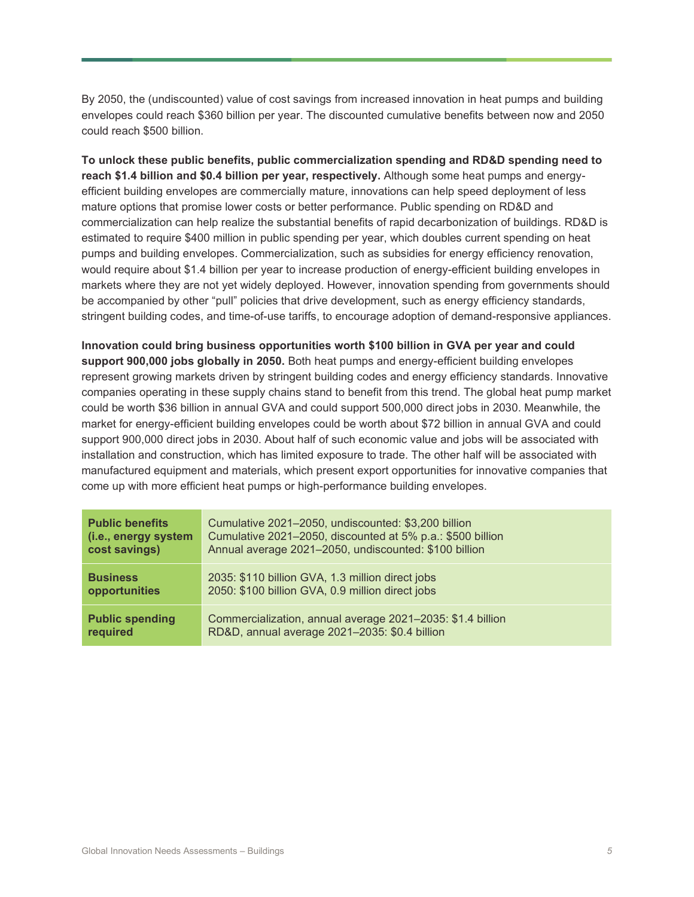By 2050, the (undiscounted) value of cost savings from increased innovation in heat pumps and building envelopes could reach \$360 billion per year. The discounted cumulative benefits between now and 2050 could reach \$500 billion.

**To unlock these public benefits, public commercialization spending and RD&D spending need to reach \$1.4 billion and \$0.4 billion per year, respectively.** Although some heat pumps and energyefficient building envelopes are commercially mature, innovations can help speed deployment of less mature options that promise lower costs or better performance. Public spending on RD&D and commercialization can help realize the substantial benefits of rapid decarbonization of buildings. RD&D is estimated to require \$400 million in public spending per year, which doubles current spending on heat pumps and building envelopes. Commercialization, such as subsidies for energy efficiency renovation, would require about \$1.4 billion per year to increase production of energy-efficient building envelopes in markets where they are not yet widely deployed. However, innovation spending from governments should be accompanied by other "pull" policies that drive development, such as energy efficiency standards, stringent building codes, and time-of-use tariffs, to encourage adoption of demand-responsive appliances.

**Innovation could bring business opportunities worth \$100 billion in GVA per year and could support 900,000 jobs globally in 2050.** Both heat pumps and energy-efficient building envelopes represent growing markets driven by stringent building codes and energy efficiency standards. Innovative companies operating in these supply chains stand to benefit from this trend. The global heat pump market could be worth \$36 billion in annual GVA and could support 500,000 direct jobs in 2030. Meanwhile, the market for energy-efficient building envelopes could be worth about \$72 billion in annual GVA and could support 900,000 direct jobs in 2030. About half of such economic value and jobs will be associated with installation and construction, which has limited exposure to trade. The other half will be associated with manufactured equipment and materials, which present export opportunities for innovative companies that come up with more efficient heat pumps or high-performance building envelopes.

| <b>Public benefits</b> | Cumulative 2021-2050, undiscounted: \$3,200 billion        |
|------------------------|------------------------------------------------------------|
| (i.e., energy system   | Cumulative 2021-2050, discounted at 5% p.a.: \$500 billion |
| cost savings)          | Annual average 2021-2050, undiscounted: \$100 billion      |
| <b>Business</b>        | 2035: \$110 billion GVA, 1.3 million direct jobs           |
| opportunities          | 2050: \$100 billion GVA, 0.9 million direct jobs           |
| <b>Public spending</b> | Commercialization, annual average 2021-2035: \$1.4 billion |
| required               | RD&D, annual average 2021-2035: \$0.4 billion              |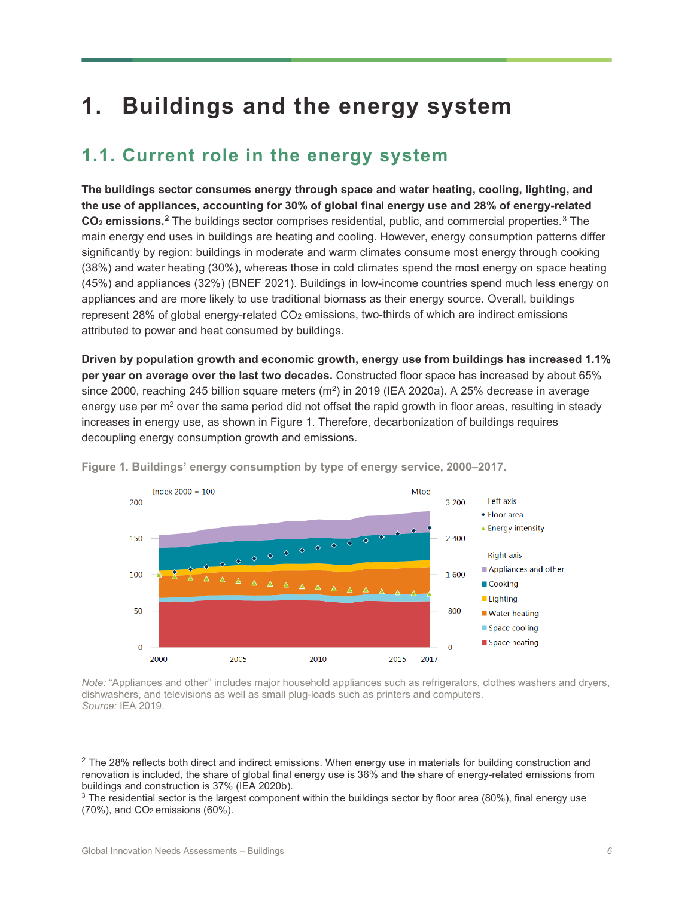# **1. Buildings and the energy system**

## **1.1. Current role in the energy system**

**The buildings sector consumes energy through space and water heating, cooling, lighting, and the use of appliances, accounting for 30% of global final energy use and 28% of energy-related CO2 emissions. [2](#page-5-1)** The buildings sector comprises residential, public, and commercial properties.[3](#page-5-2) The main energy end uses in buildings are heating and cooling. However, energy consumption patterns differ significantly by region: buildings in moderate and warm climates consume most energy through cooking (38%) and water heating (30%), whereas those in cold climates spend the most energy on space heating (45%) and appliances (32%) (BNEF 2021). Buildings in low-income countries spend much less energy on appliances and are more likely to use traditional biomass as their energy source. Overall, buildings represent 28% of global energy-related  $CO<sub>2</sub>$  emissions, two-thirds of which are indirect emissions attributed to power and heat consumed by buildings.

**Driven by population growth and economic growth, energy use from buildings has increased 1.1% per year on average over the last two decades.** Constructed floor space has increased by about 65% since 2000, reaching 245 billion square meters  $(m^2)$  in 2019 (IEA 2020a). A 25% decrease in average energy use per  $m<sup>2</sup>$  over the same period did not offset the rapid growth in floor areas, resulting in steady increases in energy use, as shown in [Figure 1.](#page-5-0) Therefore, decarbonization of buildings requires decoupling energy consumption growth and emissions.



<span id="page-5-0"></span>**Figure 1. Buildings' energy consumption by type of energy service, 2000–2017.**

*Note:* "Appliances and other" includes major household appliances such as refrigerators, clothes washers and dryers, dishwashers, and televisions as well as small plug-loads such as printers and computers. *Source:* IEA 2019.

<span id="page-5-1"></span><sup>&</sup>lt;sup>2</sup> The 28% reflects both direct and indirect emissions. When energy use in materials for building construction and renovation is included, the share of global final energy use is 36% and the share of energy-related emissions from buildings and construction is 37% (IEA 2020b).

<span id="page-5-2"></span><sup>3</sup> The residential sector is the largest component within the buildings sector by floor area (80%), final energy use  $(70\%)$ , and  $CO<sub>2</sub>$  emissions  $(60\%)$ .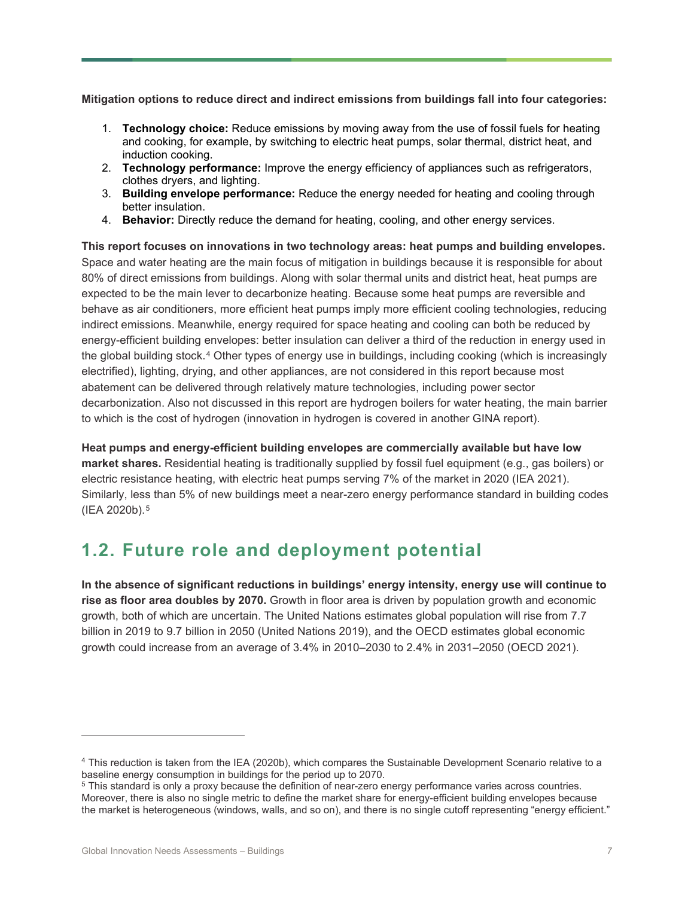**Mitigation options to reduce direct and indirect emissions from buildings fall into four categories:**

- 1. **Technology choice:** Reduce emissions by moving away from the use of fossil fuels for heating and cooking, for example, by switching to electric heat pumps, solar thermal, district heat, and induction cooking.
- 2. **Technology performance:** Improve the energy efficiency of appliances such as refrigerators, clothes dryers, and lighting.
- 3. **Building envelope performance:** Reduce the energy needed for heating and cooling through better insulation.
- 4. **Behavior:** Directly reduce the demand for heating, cooling, and other energy services.

**This report focuses on innovations in two technology areas: heat pumps and building envelopes.** Space and water heating are the main focus of mitigation in buildings because it is responsible for about 80% of direct emissions from buildings. Along with solar thermal units and district heat, heat pumps are expected to be the main lever to decarbonize heating. Because some heat pumps are reversible and behave as air conditioners, more efficient heat pumps imply more efficient cooling technologies, reducing indirect emissions. Meanwhile, energy required for space heating and cooling can both be reduced by energy-efficient building envelopes: better insulation can deliver a third of the reduction in energy used in the global building stock.[4](#page-6-0) Other types of energy use in buildings, including cooking (which is increasingly electrified), lighting, drying, and other appliances, are not considered in this report because most abatement can be delivered through relatively mature technologies, including power sector decarbonization. Also not discussed in this report are hydrogen boilers for water heating, the main barrier to which is the cost of hydrogen (innovation in hydrogen is covered in another GINA report).

**Heat pumps and energy-efficient building envelopes are commercially available but have low market shares.** Residential heating is traditionally supplied by fossil fuel equipment (e.g., gas boilers) or electric resistance heating, with electric heat pumps serving 7% of the market in 2020 (IEA 2021). Similarly, less than 5% of new buildings meet a near-zero energy performance standard in building codes (IEA 2020b).[5](#page-6-1)

#### **1.2. Future role and deployment potential**

**In the absence of significant reductions in buildings' energy intensity, energy use will continue to rise as floor area doubles by 2070.** Growth in floor area is driven by population growth and economic growth, both of which are uncertain. The United Nations estimates global population will rise from 7.7 billion in 2019 to 9.7 billion in 2050 (United Nations 2019), and the OECD estimates global economic growth could increase from an average of 3.4% in 2010–2030 to 2.4% in 2031–2050 (OECD 2021).

<span id="page-6-0"></span><sup>4</sup> This reduction is taken from the IEA (2020b), which compares the Sustainable Development Scenario relative to a baseline energy consumption in buildings for the period up to 2070.

<span id="page-6-1"></span><sup>5</sup> This standard is only a proxy because the definition of near-zero energy performance varies across countries. Moreover, there is also no single metric to define the market share for energy-efficient building envelopes because the market is heterogeneous (windows, walls, and so on), and there is no single cutoff representing "energy efficient."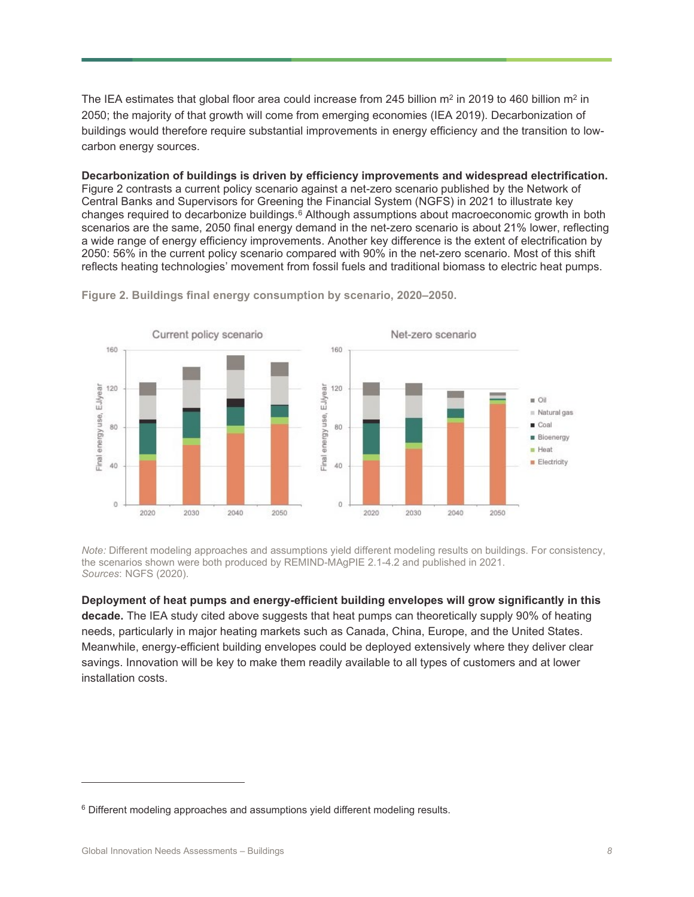The IEA estimates that global floor area could increase from 245 billion  $m^2$  in 2019 to 460 billion  $m^2$  in 2050; the majority of that growth will come from emerging economies (IEA 2019). Decarbonization of buildings would therefore require substantial improvements in energy efficiency and the transition to lowcarbon energy sources.

**Decarbonization of buildings is driven by efficiency improvements and widespread electrification.** [Figure 2](#page-7-0) contrasts a current policy scenario against a net-zero scenario published by the Network of Central Banks and Supervisors for Greening the Financial System (NGFS) in 2021 to illustrate key changes required to decarbonize buildings. $\overline{6}$  $\overline{6}$  $\overline{6}$  Although assumptions about macroeconomic growth in both scenarios are the same, 2050 final energy demand in the net-zero scenario is about 21% lower, reflecting a wide range of energy efficiency improvements. Another key difference is the extent of electrification by 2050: 56% in the current policy scenario compared with 90% in the net-zero scenario. Most of this shift reflects heating technologies' movement from fossil fuels and traditional biomass to electric heat pumps.



<span id="page-7-0"></span>**Figure 2. Buildings final energy consumption by scenario, 2020–2050.**

*Note:* Different modeling approaches and assumptions yield different modeling results on buildings. For consistency, the scenarios shown were both produced by REMIND-MAgPIE 2.1-4.2 and published in 2021. *Sources*: NGFS (2020).

**Deployment of heat pumps and energy-efficient building envelopes will grow significantly in this decade.** The IEA study cited above suggests that heat pumps can theoretically supply 90% of heating needs, particularly in major heating markets such as Canada, China, Europe, and the United States. Meanwhile, energy-efficient building envelopes could be deployed extensively where they deliver clear savings. Innovation will be key to make them readily available to all types of customers and at lower installation costs.

<span id="page-7-1"></span> $6$  Different modeling approaches and assumptions yield different modeling results.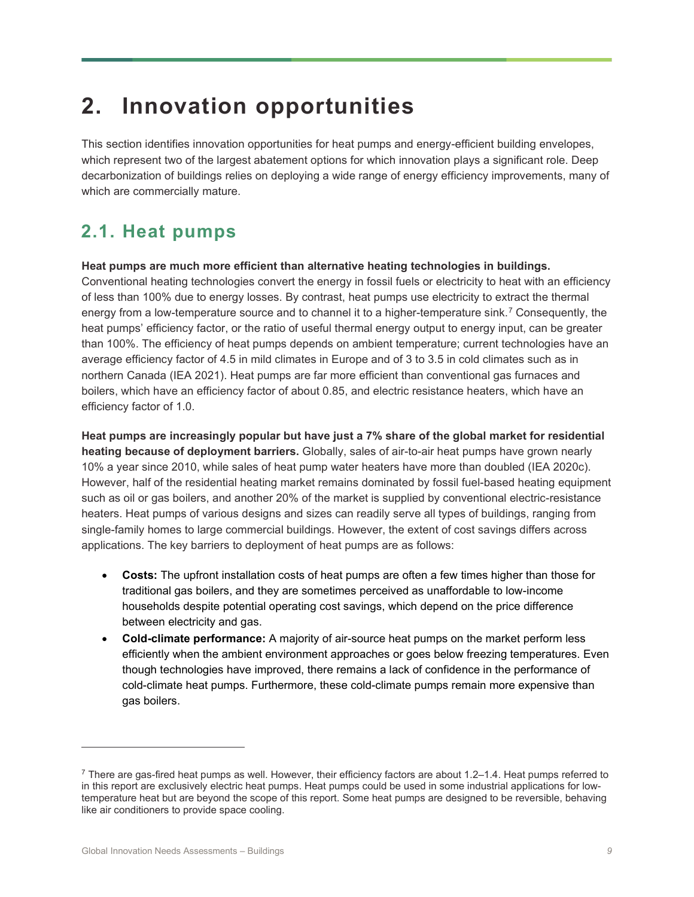# **2. Innovation opportunities**

This section identifies innovation opportunities for heat pumps and energy-efficient building envelopes, which represent two of the largest abatement options for which innovation plays a significant role. Deep decarbonization of buildings relies on deploying a wide range of energy efficiency improvements, many of which are commercially mature.

## **2.1. Heat pumps**

#### **Heat pumps are much more efficient than alternative heating technologies in buildings.**

Conventional heating technologies convert the energy in fossil fuels or electricity to heat with an efficiency of less than 100% due to energy losses. By contrast, heat pumps use electricity to extract the thermal energy from a low-temperature source and to channel it to a higher-temperature sink.[7](#page-8-0) Consequently, the heat pumps' efficiency factor, or the ratio of useful thermal energy output to energy input, can be greater than 100%. The efficiency of heat pumps depends on ambient temperature; current technologies have an average efficiency factor of 4.5 in mild climates in Europe and of 3 to 3.5 in cold climates such as in northern Canada (IEA 2021). Heat pumps are far more efficient than conventional gas furnaces and boilers, which have an efficiency factor of about 0.85, and electric resistance heaters, which have an efficiency factor of 1.0.

**Heat pumps are increasingly popular but have just a 7% share of the global market for residential heating because of deployment barriers.** Globally, sales of air-to-air heat pumps have grown nearly 10% a year since 2010, while sales of heat pump water heaters have more than doubled (IEA 2020c). However, half of the residential heating market remains dominated by fossil fuel-based heating equipment such as oil or gas boilers, and another 20% of the market is supplied by conventional electric-resistance heaters. Heat pumps of various designs and sizes can readily serve all types of buildings, ranging from single-family homes to large commercial buildings. However, the extent of cost savings differs across applications. The key barriers to deployment of heat pumps are as follows:

- **Costs:** The upfront installation costs of heat pumps are often a few times higher than those for traditional gas boilers, and they are sometimes perceived as unaffordable to low-income households despite potential operating cost savings, which depend on the price difference between electricity and gas.
- **Cold-climate performance:** A majority of air-source heat pumps on the market perform less efficiently when the ambient environment approaches or goes below freezing temperatures. Even though technologies have improved, there remains a lack of confidence in the performance of cold-climate heat pumps. Furthermore, these cold-climate pumps remain more expensive than gas boilers.

<span id="page-8-0"></span> $^7$  There are gas-fired heat pumps as well. However, their efficiency factors are about 1.2–1.4. Heat pumps referred to in this report are exclusively electric heat pumps. Heat pumps could be used in some industrial applications for lowtemperature heat but are beyond the scope of this report. Some heat pumps are designed to be reversible, behaving like air conditioners to provide space cooling.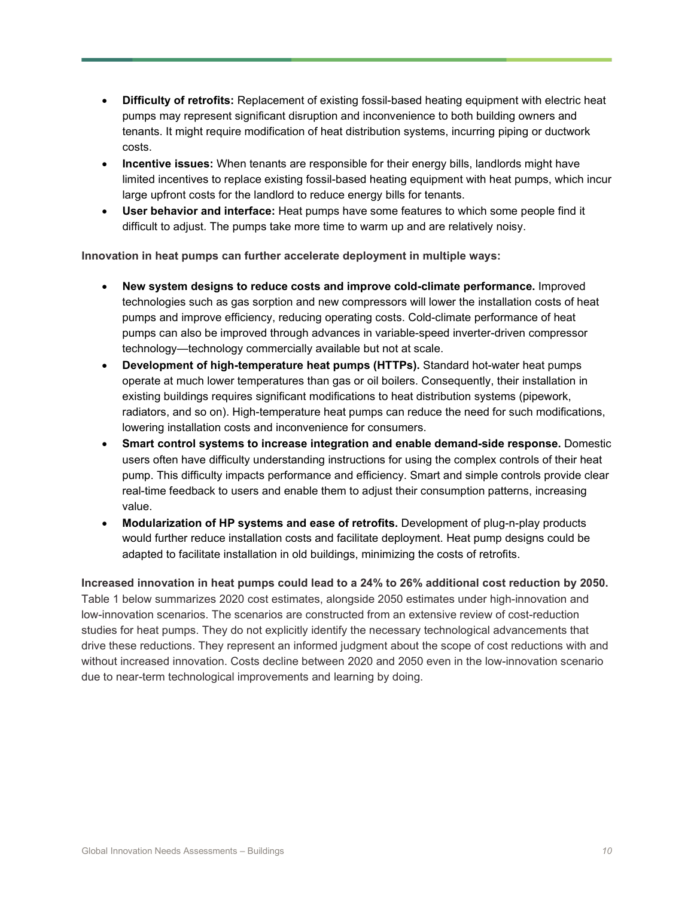- **Difficulty of retrofits:** Replacement of existing fossil-based heating equipment with electric heat pumps may represent significant disruption and inconvenience to both building owners and tenants. It might require modification of heat distribution systems, incurring piping or ductwork costs.
- **Incentive issues:** When tenants are responsible for their energy bills, landlords might have limited incentives to replace existing fossil-based heating equipment with heat pumps, which incur large upfront costs for the landlord to reduce energy bills for tenants.
- **User behavior and interface:** Heat pumps have some features to which some people find it difficult to adjust. The pumps take more time to warm up and are relatively noisy.

**Innovation in heat pumps can further accelerate deployment in multiple ways:**

- **New system designs to reduce costs and improve cold-climate performance.** Improved technologies such as gas sorption and new compressors will lower the installation costs of heat pumps and improve efficiency, reducing operating costs. Cold-climate performance of heat pumps can also be improved through advances in variable-speed inverter-driven compressor technology—technology commercially available but not at scale.
- **Development of high-temperature heat pumps (HTTPs).** Standard hot-water heat pumps operate at much lower temperatures than gas or oil boilers. Consequently, their installation in existing buildings requires significant modifications to heat distribution systems (pipework, radiators, and so on). High-temperature heat pumps can reduce the need for such modifications, lowering installation costs and inconvenience for consumers.
- **Smart control systems to increase integration and enable demand-side response.** Domestic users often have difficulty understanding instructions for using the complex controls of their heat pump. This difficulty impacts performance and efficiency. Smart and simple controls provide clear real-time feedback to users and enable them to adjust their consumption patterns, increasing value.
- **Modularization of HP systems and ease of retrofits.** Development of plug-n-play products would further reduce installation costs and facilitate deployment. Heat pump designs could be adapted to facilitate installation in old buildings, minimizing the costs of retrofits.

<span id="page-9-0"></span>**Increased innovation in heat pumps could lead to a 24% to 26% additional cost reduction by 2050.** [Table 1](#page-9-0) below summarizes 2020 cost estimates, alongside 2050 estimates under high-innovation and low-innovation scenarios. The scenarios are constructed from an extensive review of cost-reduction studies for heat pumps. They do not explicitly identify the necessary technological advancements that drive these reductions. They represent an informed judgment about the scope of cost reductions with and without increased innovation. Costs decline between 2020 and 2050 even in the low-innovation scenario due to near-term technological improvements and learning by doing.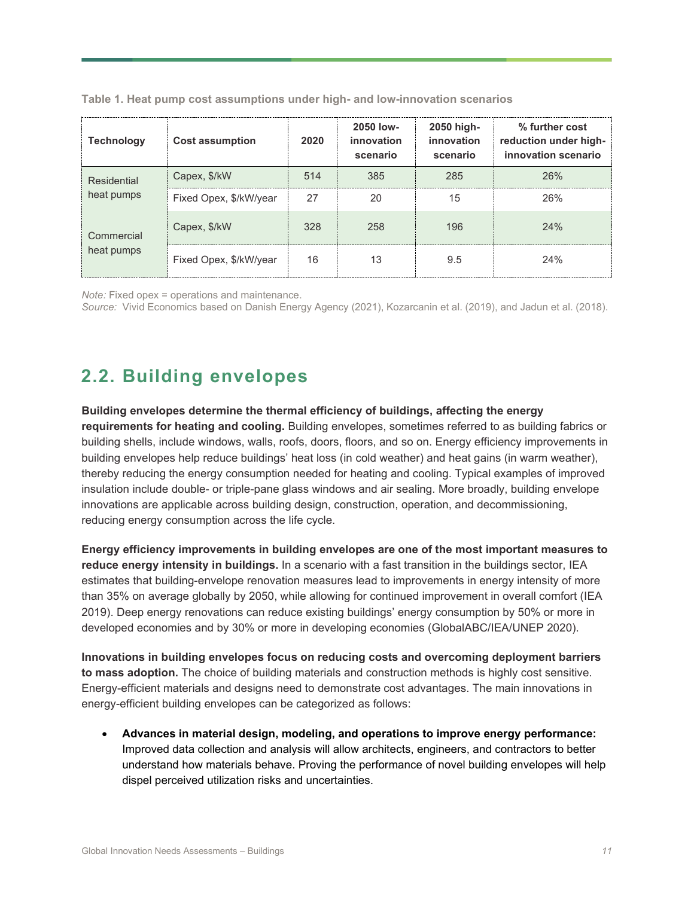| <b>Technology</b>         | <b>Cost assumption</b> | 2020 | 2050 low-<br>innovation<br>scenario | 2050 high-<br>innovation<br>scenario | % further cost<br>reduction under high-<br>innovation scenario |
|---------------------------|------------------------|------|-------------------------------------|--------------------------------------|----------------------------------------------------------------|
| Residential<br>heat pumps | Capex, \$/kW           | 514  | 385                                 | 285                                  | 26%                                                            |
|                           | Fixed Opex, \$/kW/year | 27   | 20                                  | 15                                   | 26%                                                            |
| Commercial<br>heat pumps  | Capex, \$/kW           | 328  | 258                                 | 196                                  | 24%                                                            |
|                           | Fixed Opex, \$/kW/year | 16   | 13                                  | 9.5                                  | 24%                                                            |

**Table 1. Heat pump cost assumptions under high- and low-innovation scenarios**

*Note:* Fixed opex = operations and maintenance.

*Source:* Vivid Economics based on Danish Energy Agency (2021), Kozarcanin et al. (2019), and Jadun et al. (2018).

#### **2.2. Building envelopes**

**Building envelopes determine the thermal efficiency of buildings, affecting the energy requirements for heating and cooling.** Building envelopes, sometimes referred to as building fabrics or building shells, include windows, walls, roofs, doors, floors, and so on. Energy efficiency improvements in building envelopes help reduce buildings' heat loss (in cold weather) and heat gains (in warm weather), thereby reducing the energy consumption needed for heating and cooling. Typical examples of improved insulation include double- or triple-pane glass windows and air sealing. More broadly, building envelope innovations are applicable across building design, construction, operation, and decommissioning, reducing energy consumption across the life cycle.

**Energy efficiency improvements in building envelopes are one of the most important measures to reduce energy intensity in buildings.** In a scenario with a fast transition in the buildings sector, IEA estimates that building-envelope renovation measures lead to improvements in energy intensity of more than 35% on average globally by 2050, while allowing for continued improvement in overall comfort (IEA 2019). Deep energy renovations can reduce existing buildings' energy consumption by 50% or more in developed economies and by 30% or more in developing economies (GlobalABC/IEA/UNEP 2020).

**Innovations in building envelopes focus on reducing costs and overcoming deployment barriers to mass adoption.** The choice of building materials and construction methods is highly cost sensitive. Energy-efficient materials and designs need to demonstrate cost advantages. The main innovations in energy-efficient building envelopes can be categorized as follows:

• **Advances in material design, modeling, and operations to improve energy performance:** Improved data collection and analysis will allow architects, engineers, and contractors to better understand how materials behave. Proving the performance of novel building envelopes will help dispel perceived utilization risks and uncertainties.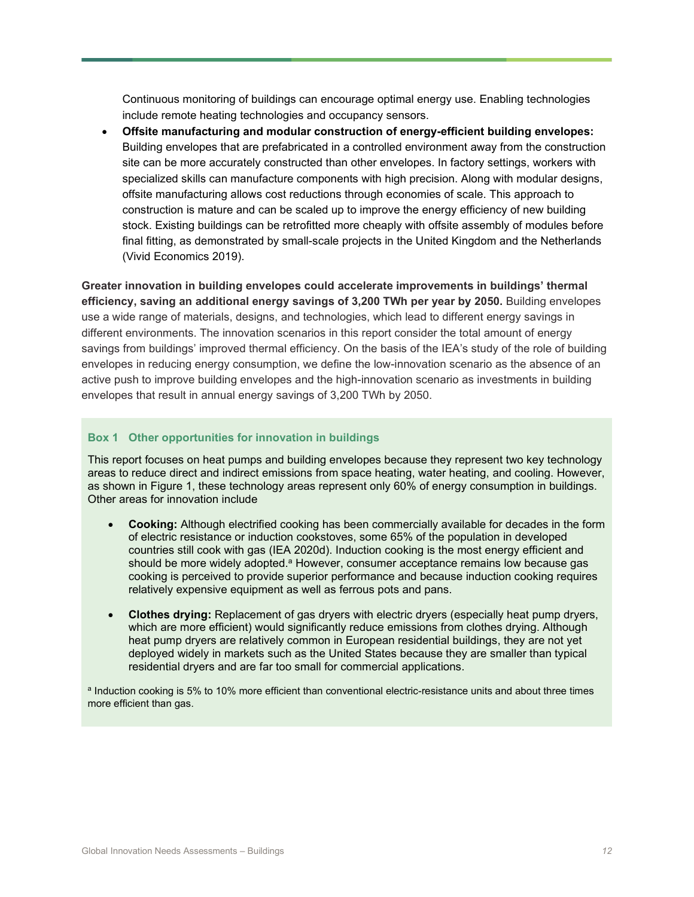Continuous monitoring of buildings can encourage optimal energy use. Enabling technologies include remote heating technologies and occupancy sensors.

• **Offsite manufacturing and modular construction of energy-efficient building envelopes:** Building envelopes that are prefabricated in a controlled environment away from the construction site can be more accurately constructed than other envelopes. In factory settings, workers with specialized skills can manufacture components with high precision. Along with modular designs, offsite manufacturing allows cost reductions through economies of scale. This approach to construction is mature and can be scaled up to improve the energy efficiency of new building stock. Existing buildings can be retrofitted more cheaply with offsite assembly of modules before final fitting, as demonstrated by small-scale projects in the United Kingdom and the Netherlands (Vivid Economics 2019).

**Greater innovation in building envelopes could accelerate improvements in buildings' thermal efficiency, saving an additional energy savings of 3,200 TWh per year by 2050.** Building envelopes use a wide range of materials, designs, and technologies, which lead to different energy savings in different environments. The innovation scenarios in this report consider the total amount of energy savings from buildings' improved thermal efficiency. On the basis of the IEA's study of the role of building envelopes in reducing energy consumption, we define the low-innovation scenario as the absence of an active push to improve building envelopes and the high-innovation scenario as investments in building envelopes that result in annual energy savings of 3,200 TWh by 2050.

#### **Box 1 Other opportunities for innovation in buildings**

This report focuses on heat pumps and building envelopes because they represent two key technology areas to reduce direct and indirect emissions from space heating, water heating, and cooling. However, as shown in [Figure 1,](#page-5-0) these technology areas represent only 60% of energy consumption in buildings. Other areas for innovation include

- **Cooking:** Although electrified cooking has been commercially available for decades in the form of electric resistance or induction cookstoves, some 65% of the population in developed countries still cook with gas (IEA 2020d). Induction cooking is the most energy efficient and should be more widely adopted.ª However, consumer acceptance remains low because gas cooking is perceived to provide superior performance and because induction cooking requires relatively expensive equipment as well as ferrous pots and pans.
- **Clothes drying:** Replacement of gas dryers with electric dryers (especially heat pump dryers, which are more efficient) would significantly reduce emissions from clothes drying. Although heat pump dryers are relatively common in European residential buildings, they are not yet deployed widely in markets such as the United States because they are smaller than typical residential dryers and are far too small for commercial applications.

a Induction cooking is 5% to 10% more efficient than conventional electric-resistance units and about three times more efficient than gas.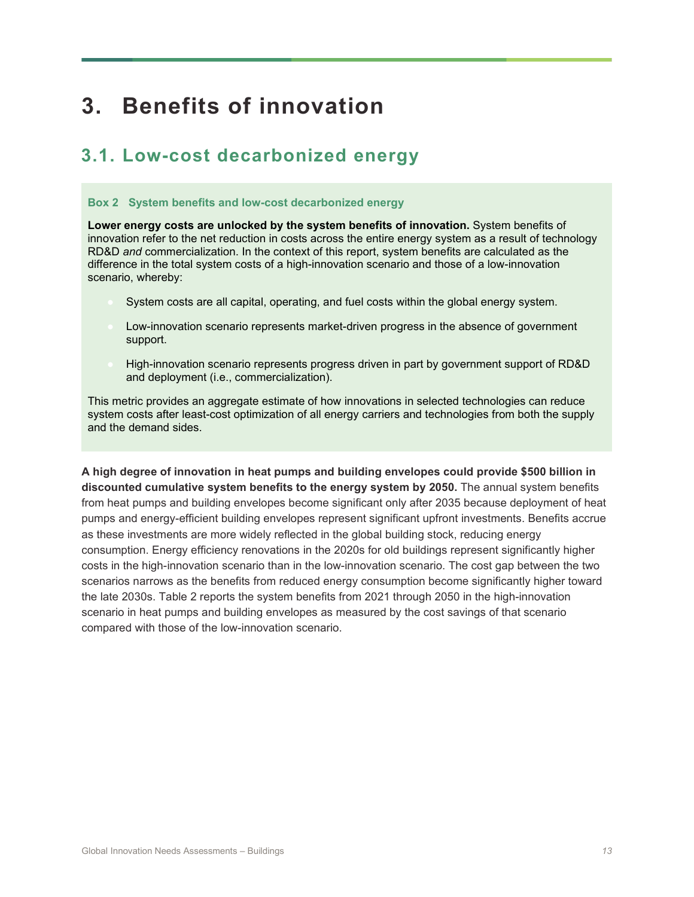# **3. Benefits of innovation**

### **3.1. Low-cost decarbonized energy**

#### **Box 2 System benefits and low-cost decarbonized energy**

**Lower energy costs are unlocked by the system benefits of innovation.** System benefits of innovation refer to the net reduction in costs across the entire energy system as a result of technology RD&D *and* commercialization. In the context of this report, system benefits are calculated as the difference in the total system costs of a high-innovation scenario and those of a low-innovation scenario, whereby:

- System costs are all capital, operating, and fuel costs within the global energy system.
- Low-innovation scenario represents market-driven progress in the absence of government support.
- High-innovation scenario represents progress driven in part by government support of RD&D and deployment (i.e., commercialization).

This metric provides an aggregate estimate of how innovations in selected technologies can reduce system costs after least-cost optimization of all energy carriers and technologies from both the supply and the demand sides.

**A high degree of innovation in heat pumps and building envelopes could provide \$500 billion in discounted cumulative system benefits to the energy system by 2050.** The annual system benefits from heat pumps and building envelopes become significant only after 2035 because deployment of heat pumps and energy-efficient building envelopes represent significant upfront investments. Benefits accrue as these investments are more widely reflected in the global building stock, reducing energy consumption. Energy efficiency renovations in the 2020s for old buildings represent significantly higher costs in the high-innovation scenario than in the low-innovation scenario. The cost gap between the two scenarios narrows as the benefits from reduced energy consumption become significantly higher toward the late 2030s. Table 2 reports the system benefits from 2021 through 2050 in the high-innovation scenario in heat pumps and building envelopes as measured by the cost savings of that scenario compared with those of the low-innovation scenario.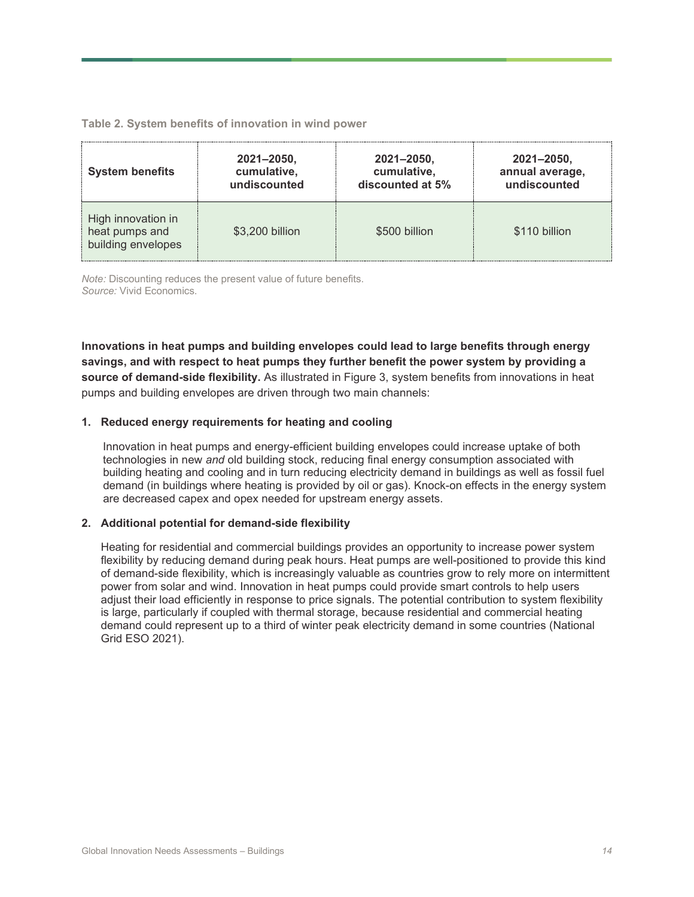#### **Table 2. System benefits of innovation in wind power**

| <b>System benefits</b>                                     | $2021 - 2050,$  | 2021-2050,       | 2021-2050,      |
|------------------------------------------------------------|-----------------|------------------|-----------------|
|                                                            | cumulative,     | cumulative,      | annual average, |
|                                                            | undiscounted    | discounted at 5% | undiscounted    |
| High innovation in<br>heat pumps and<br>building envelopes | \$3,200 billion | \$500 billion    | \$110 billion   |

*Note:* Discounting reduces the present value of future benefits. *Source:* Vivid Economics.

**Innovations in heat pumps and building envelopes could lead to large benefits through energy savings, and with respect to heat pumps they further benefit the power system by providing a source of demand-side flexibility.** As illustrated in [Figure 3,](#page-14-0) system benefits from innovations in heat pumps and building envelopes are driven through two main channels:

#### **1. Reduced energy requirements for heating and cooling**

Innovation in heat pumps and energy-efficient building envelopes could increase uptake of both technologies in new *and* old building stock, reducing final energy consumption associated with building heating and cooling and in turn reducing electricity demand in buildings as well as fossil fuel demand (in buildings where heating is provided by oil or gas). Knock-on effects in the energy system are decreased capex and opex needed for upstream energy assets.

#### **2. Additional potential for demand-side flexibility**

Heating for residential and commercial buildings provides an opportunity to increase power system flexibility by reducing demand during peak hours. Heat pumps are well-positioned to provide this kind of demand-side flexibility, which is increasingly valuable as countries grow to rely more on intermittent power from solar and wind. Innovation in heat pumps could provide smart controls to help users adjust their load efficiently in response to price signals. The potential contribution to system flexibility is large, particularly if coupled with thermal storage, because residential and commercial heating demand could represent up to a third of winter peak electricity demand in some countries (National Grid ESO 2021).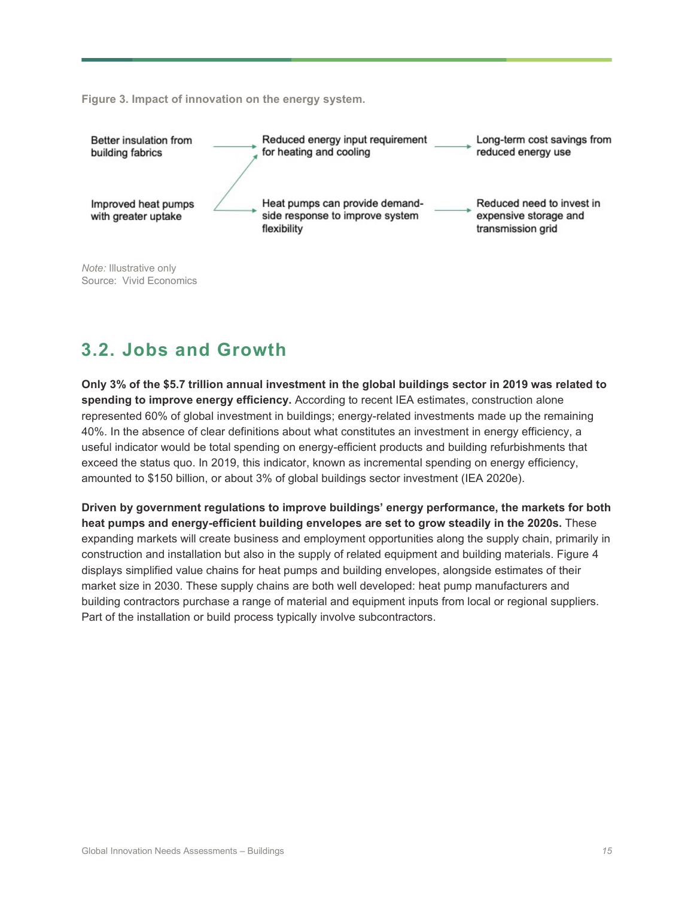<span id="page-14-0"></span>**Figure 3. Impact of innovation on the energy system.**



## **3.2. Jobs and Growth**

**Only 3% of the \$5.7 trillion annual investment in the global buildings sector in 2019 was related to spending to improve energy efficiency.** According to recent IEA estimates, construction alone represented 60% of global investment in buildings; energy-related investments made up the remaining 40%. In the absence of clear definitions about what constitutes an investment in energy efficiency, a useful indicator would be total spending on energy-efficient products and building refurbishments that exceed the status quo. In 2019, this indicator, known as incremental spending on energy efficiency, amounted to \$150 billion, or about 3% of global buildings sector investment (IEA 2020e).

**Driven by government regulations to improve buildings' energy performance, the markets for both heat pumps and energy-efficient building envelopes are set to grow steadily in the 2020s.** These expanding markets will create business and employment opportunities along the supply chain, primarily in construction and installation but also in the supply of related equipment and building materials. [Figure 4](#page-15-0) displays simplified value chains for heat pumps and building envelopes, alongside estimates of their market size in 2030. These supply chains are both well developed: heat pump manufacturers and building contractors purchase a range of material and equipment inputs from local or regional suppliers. Part of the installation or build process typically involve subcontractors.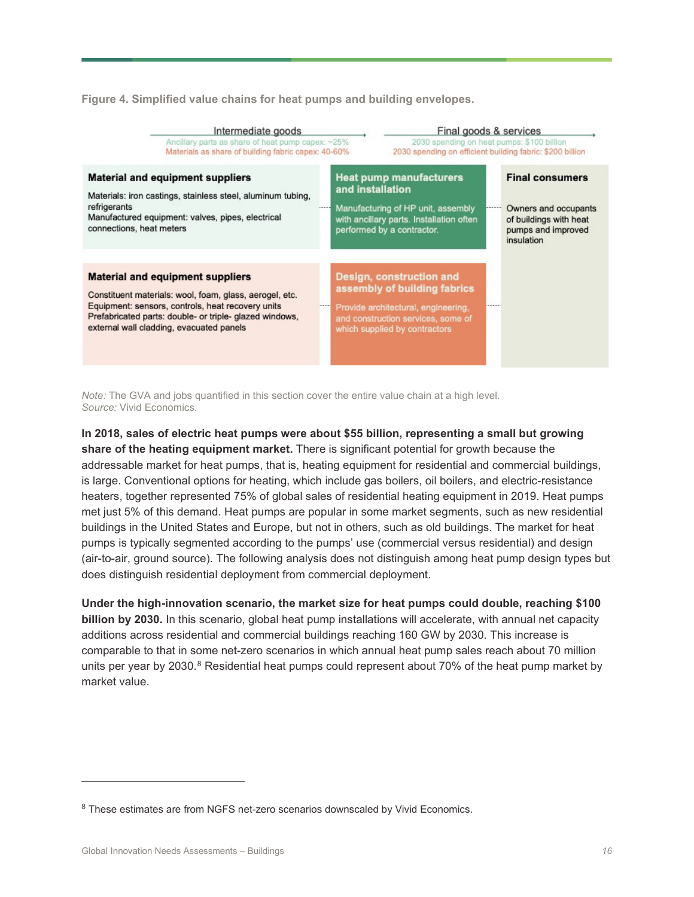<span id="page-15-0"></span>**Figure 4. Simplified value chains for heat pumps and building envelopes.**

| Intermediate goods                                                                                                                                                                                                                                             |                                          |                                                                                                                                                                               | Final goods & services                                    |                        |  |
|----------------------------------------------------------------------------------------------------------------------------------------------------------------------------------------------------------------------------------------------------------------|------------------------------------------|-------------------------------------------------------------------------------------------------------------------------------------------------------------------------------|-----------------------------------------------------------|------------------------|--|
| Ancillary parts as share of heat pump capex: ~25%                                                                                                                                                                                                              |                                          |                                                                                                                                                                               | 2030 spending on heat pumps: \$100 billion                |                        |  |
| Materials as share of building fabric capex: 40-60%                                                                                                                                                                                                            |                                          |                                                                                                                                                                               | 2030 spending on efficient building fabric: \$200 billion |                        |  |
| <b>Material and equipment suppliers</b>                                                                                                                                                                                                                        | <b>Heat pump manufacturers</b>           |                                                                                                                                                                               |                                                           | <b>Final consumers</b> |  |
| Materials: iron castings, stainless steel, aluminum tubing,                                                                                                                                                                                                    | and installation                         |                                                                                                                                                                               |                                                           | Owners and occupants   |  |
| refrigerants                                                                                                                                                                                                                                                   | Manufacturing of HP unit, assembly       |                                                                                                                                                                               |                                                           | of buildings with heat |  |
| Manufactured equipment: valves, pipes, electrical                                                                                                                                                                                                              | with ancillary parts. Installation often |                                                                                                                                                                               |                                                           | pumps and improved     |  |
| connections, heat meters                                                                                                                                                                                                                                       | performed by a contractor.               |                                                                                                                                                                               |                                                           | insulation             |  |
| <b>Material and equipment suppliers</b><br>Constituent materials: wool, foam, glass, aerogel, etc.<br>Equipment: sensors, controls, heat recovery units<br>Prefabricated parts: double- or triple- glazed windows,<br>external wall cladding, evacuated panels |                                          | <b>Design, construction and</b><br>assembly of building fabrics<br>Provide architectural, engineering,<br>and construction services, some of<br>which supplied by contractors |                                                           |                        |  |

*Note:* The GVA and jobs quantified in this section cover the entire value chain at a high level. *Source:* Vivid Economics.

**In 2018, sales of electric heat pumps were about \$55 billion, representing a small but growing share of the heating equipment market.** There is significant potential for growth because the addressable market for heat pumps, that is, heating equipment for residential and commercial buildings, is large. Conventional options for heating, which include gas boilers, oil boilers, and electric-resistance heaters, together represented 75% of global sales of residential heating equipment in 2019. Heat pumps met just 5% of this demand. Heat pumps are popular in some market segments, such as new residential buildings in the United States and Europe, but not in others, such as old buildings. The market for heat pumps is typically segmented according to the pumps' use (commercial versus residential) and design (air-to-air, ground source). The following analysis does not distinguish among heat pump design types but does distinguish residential deployment from commercial deployment.

**Under the high-innovation scenario, the market size for heat pumps could double, reaching \$100 billion by 2030.** In this scenario, global heat pump installations will accelerate, with annual net capacity additions across residential and commercial buildings reaching 160 GW by 2030. This increase is comparable to that in some net-zero scenarios in which annual heat pump sales reach about 70 million units per year by 2030.<sup>[8](#page-15-1)</sup> Residential heat pumps could represent about 70% of the heat pump market by market value.

<span id="page-15-1"></span><sup>&</sup>lt;sup>8</sup> These estimates are from NGFS net-zero scenarios downscaled by Vivid Economics.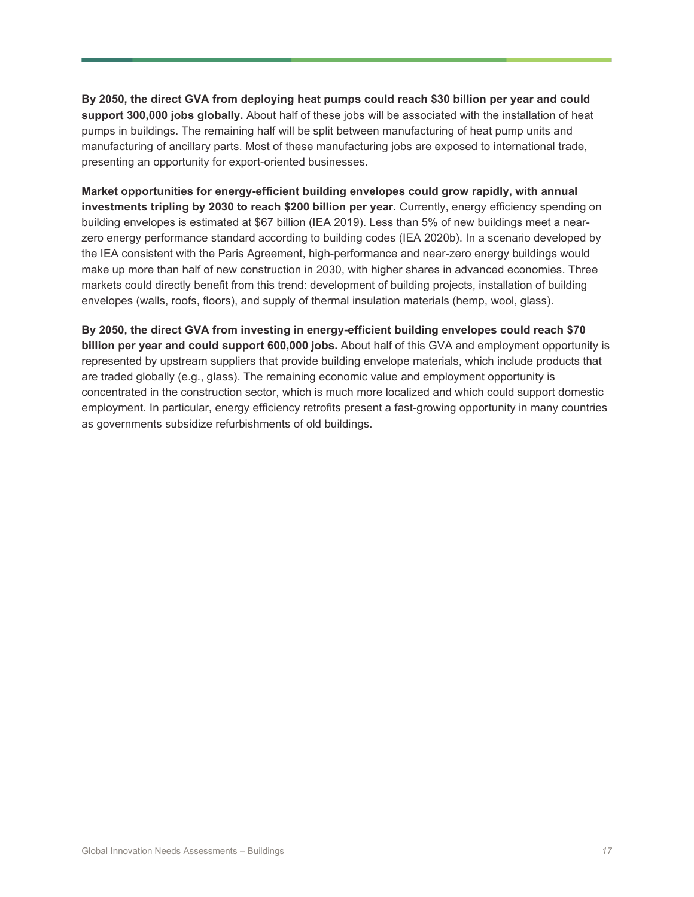**By 2050, the direct GVA from deploying heat pumps could reach \$30 billion per year and could support 300,000 jobs globally.** About half of these jobs will be associated with the installation of heat pumps in buildings. The remaining half will be split between manufacturing of heat pump units and manufacturing of ancillary parts. Most of these manufacturing jobs are exposed to international trade, presenting an opportunity for export-oriented businesses.

**Market opportunities for energy-efficient building envelopes could grow rapidly, with annual investments tripling by 2030 to reach \$200 billion per year.** Currently, energy efficiency spending on building envelopes is estimated at \$67 billion (IEA 2019). Less than 5% of new buildings meet a nearzero energy performance standard according to building codes (IEA 2020b). In a scenario developed by the IEA consistent with the Paris Agreement, high-performance and near-zero energy buildings would make up more than half of new construction in 2030, with higher shares in advanced economies. Three markets could directly benefit from this trend: development of building projects, installation of building envelopes (walls, roofs, floors), and supply of thermal insulation materials (hemp, wool, glass).

**By 2050, the direct GVA from investing in energy-efficient building envelopes could reach \$70 billion per year and could support 600,000 jobs.** About half of this GVA and employment opportunity is represented by upstream suppliers that provide building envelope materials, which include products that are traded globally (e.g., glass). The remaining economic value and employment opportunity is concentrated in the construction sector, which is much more localized and which could support domestic employment. In particular, energy efficiency retrofits present a fast-growing opportunity in many countries as governments subsidize refurbishments of old buildings.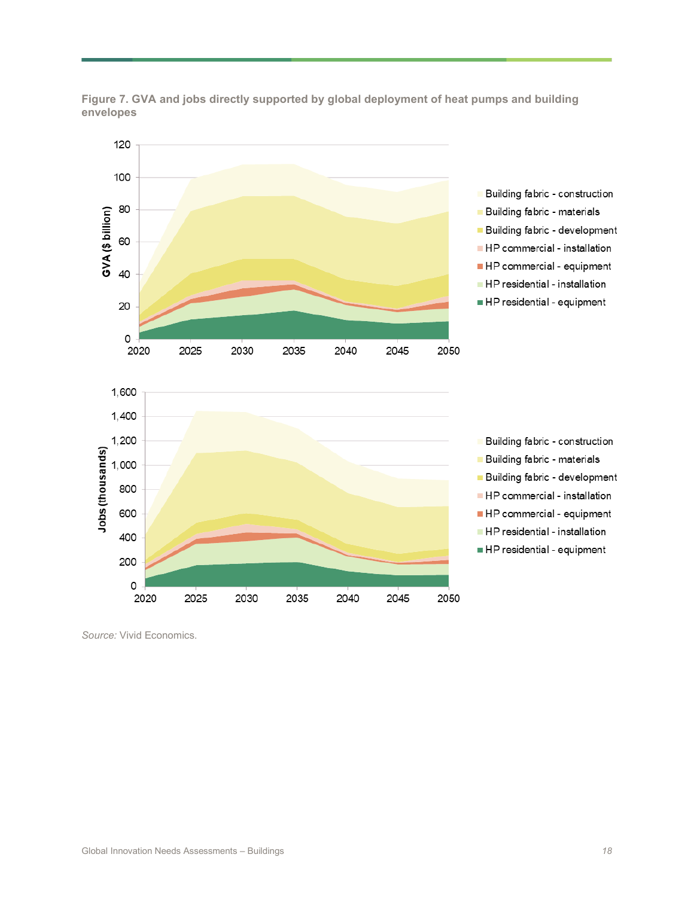

**Figure 7. GVA and jobs directly supported by global deployment of heat pumps and building envelopes**

*Source:* Vivid Economics.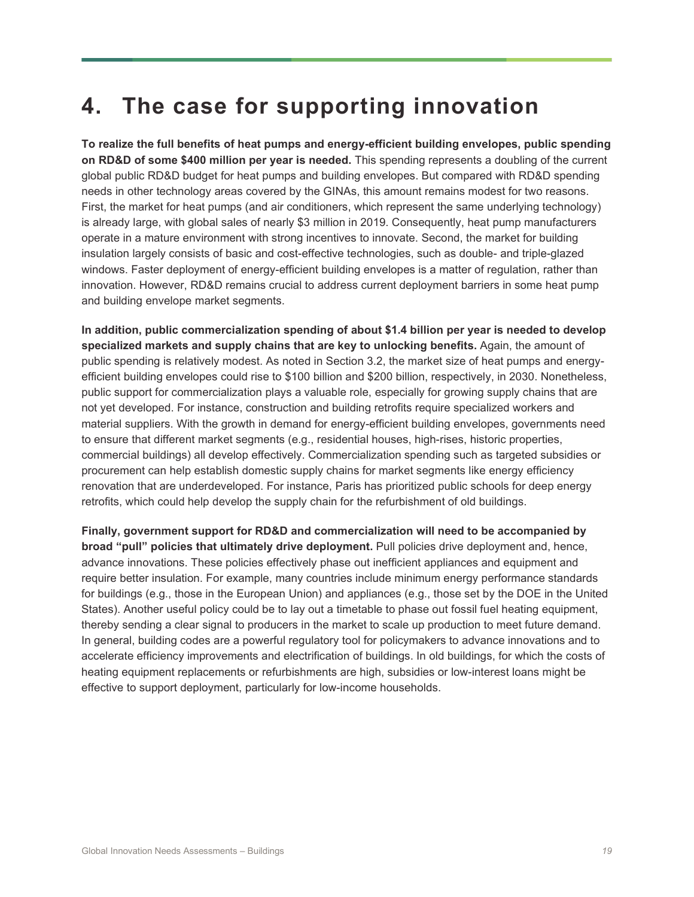# **4. The case for supporting innovation**

**To realize the full benefits of heat pumps and energy-efficient building envelopes, public spending on RD&D of some \$400 million per year is needed.** This spending represents a doubling of the current global public RD&D budget for heat pumps and building envelopes. But compared with RD&D spending needs in other technology areas covered by the GINAs, this amount remains modest for two reasons. First, the market for heat pumps (and air conditioners, which represent the same underlying technology) is already large, with global sales of nearly \$3 million in 2019. Consequently, heat pump manufacturers operate in a mature environment with strong incentives to innovate. Second, the market for building insulation largely consists of basic and cost-effective technologies, such as double- and triple-glazed windows. Faster deployment of energy-efficient building envelopes is a matter of regulation, rather than innovation. However, RD&D remains crucial to address current deployment barriers in some heat pump and building envelope market segments.

**In addition, public commercialization spending of about \$1.4 billion per year is needed to develop specialized markets and supply chains that are key to unlocking benefits.** Again, the amount of public spending is relatively modest. As noted in Section 3.2, the market size of heat pumps and energyefficient building envelopes could rise to \$100 billion and \$200 billion, respectively, in 2030. Nonetheless, public support for commercialization plays a valuable role, especially for growing supply chains that are not yet developed. For instance, construction and building retrofits require specialized workers and material suppliers. With the growth in demand for energy-efficient building envelopes, governments need to ensure that different market segments (e.g., residential houses, high-rises, historic properties, commercial buildings) all develop effectively. Commercialization spending such as targeted subsidies or procurement can help establish domestic supply chains for market segments like energy efficiency renovation that are underdeveloped. For instance, Paris has prioritized public schools for deep energy retrofits, which could help develop the supply chain for the refurbishment of old buildings.

**Finally, government support for RD&D and commercialization will need to be accompanied by broad "pull" policies that ultimately drive deployment.** Pull policies drive deployment and, hence, advance innovations. These policies effectively phase out inefficient appliances and equipment and require better insulation. For example, many countries include minimum energy performance standards for buildings (e.g., those in the European Union) and appliances (e.g., those set by the DOE in the United States). Another useful policy could be to lay out a timetable to phase out fossil fuel heating equipment, thereby sending a clear signal to producers in the market to scale up production to meet future demand. In general, building codes are a powerful regulatory tool for policymakers to advance innovations and to accelerate efficiency improvements and electrification of buildings. In old buildings, for which the costs of heating equipment replacements or refurbishments are high, subsidies or low-interest loans might be effective to support deployment, particularly for low-income households.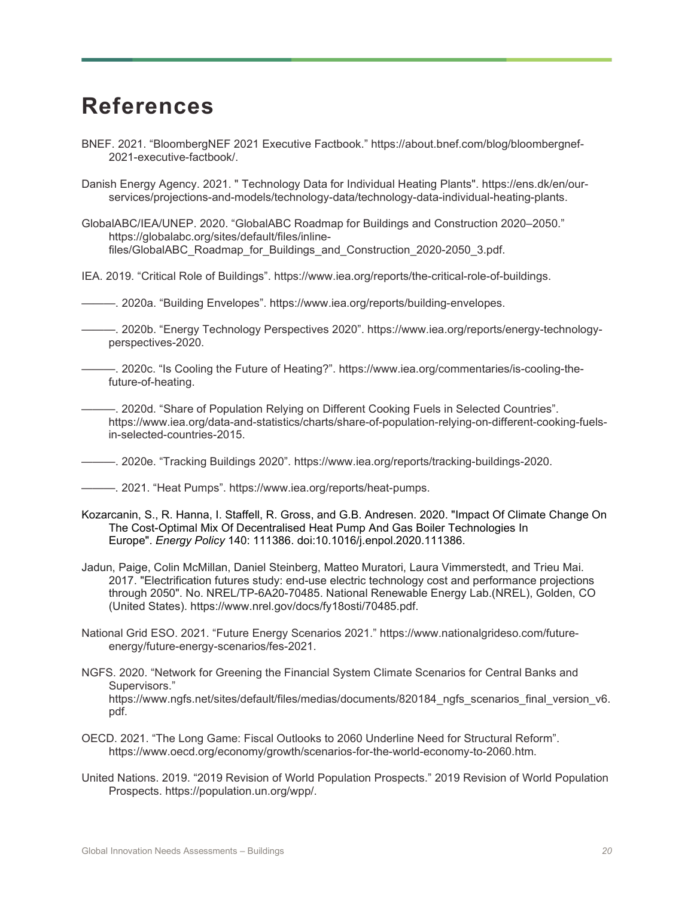## **References**

- BNEF. 2021. "BloombergNEF 2021 Executive Factbook." https://about.bnef.com/blog/bloombergnef-2021-executive-factbook/.
- Danish Energy Agency. 2021. " Technology Data for Individual Heating Plants". https://ens.dk/en/ourservices/projections-and-models/technology-data/technology-data-individual-heating-plants.
- GlobalABC/IEA/UNEP. 2020. "GlobalABC Roadmap for Buildings and Construction 2020–2050." https://globalabc.org/sites/default/files/inlinefiles/GlobalABC\_Roadmap\_for\_Buildings\_and\_Construction\_2020-2050\_3.pdf.
- IEA. 2019. "Critical Role of Buildings". https://www.iea.org/reports/the-critical-role-of-buildings.
- ———. 2020a. "Building Envelopes". https://www.iea.org/reports/building-envelopes.
- ———. 2020b. "Energy Technology Perspectives 2020". https://www.iea.org/reports/energy-technologyperspectives-2020.
- ———. 2020c. "Is Cooling the Future of Heating?". https://www.iea.org/commentaries/is-cooling-thefuture-of-heating.
	- ———. 2020d. "Share of Population Relying on Different Cooking Fuels in Selected Countries". https://www.iea.org/data-and-statistics/charts/share-of-population-relying-on-different-cooking-fuelsin-selected-countries-2015.
- ———. 2020e. "Tracking Buildings 2020". https://www.iea.org/reports/tracking-buildings-2020.
- ———. 2021. "Heat Pumps". https://www.iea.org/reports/heat-pumps.
- Kozarcanin, S., R. Hanna, I. Staffell, R. Gross, and G.B. Andresen. 2020. "Impact Of Climate Change On The Cost-Optimal Mix Of Decentralised Heat Pump And Gas Boiler Technologies In Europe". *Energy Policy* 140: 111386. doi:10.1016/j.enpol.2020.111386.
- Jadun, Paige, Colin McMillan, Daniel Steinberg, Matteo Muratori, Laura Vimmerstedt, and Trieu Mai. 2017. "Electrification futures study: end-use electric technology cost and performance projections through 2050". No. NREL/TP-6A20-70485. National Renewable Energy Lab.(NREL), Golden, CO (United States). https://www.nrel.gov/docs/fy18osti/70485.pdf.
- National Grid ESO. 2021. "Future Energy Scenarios 2021." https://www.nationalgrideso.com/futureenergy/future-energy-scenarios/fes-2021.
- NGFS. 2020. "Network for Greening the Financial System Climate Scenarios for Central Banks and Supervisors." https://www.ngfs.net/sites/default/files/medias/documents/820184 ngfs scenarios final version v6. pdf.
- OECD. 2021. "The Long Game: Fiscal Outlooks to 2060 Underline Need for Structural Reform". https://www.oecd.org/economy/growth/scenarios-for-the-world-economy-to-2060.htm.
- United Nations. 2019. "2019 Revision of World Population Prospects." 2019 Revision of World Population Prospects. https://population.un.org/wpp/.